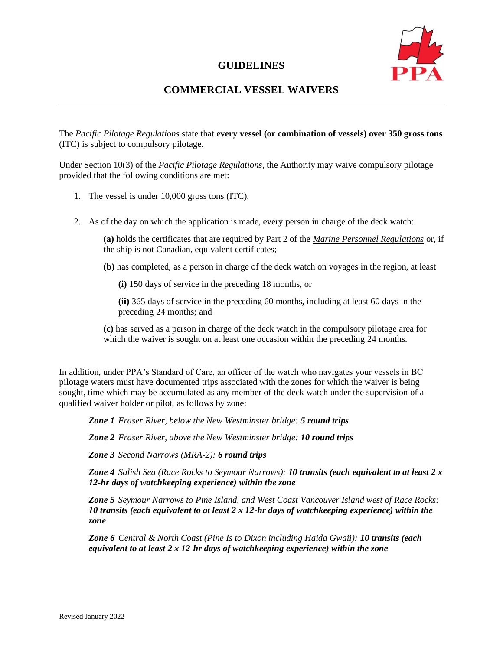

## **GUIDELINES**

## **COMMERCIAL VESSEL WAIVERS**

The *Pacific Pilotage Regulations* state that **every vessel (or combination of vessels) over 350 gross tons** (ITC) is subject to compulsory pilotage.

Under Section 10(3) of the *Pacific Pilotage Regulations*, the Authority may waive compulsory pilotage provided that the following conditions are met:

- 1. The vessel is under 10,000 gross tons (ITC).
- 2. As of the day on which the application is made, every person in charge of the deck watch:

**(a)** holds the certificates that are required by Part 2 of the *[Marine Personnel Regulations](https://can01.safelinks.protection.outlook.com/?url=https%3A%2F%2Flaws-lois.justice.gc.ca%2Feng%2Fregulations%2FSOR-2007-115&data=04%7C01%7Cadeffense%40ppa.gc.ca%7Cd927d8a723554be5cb8208d8b6851404%7Cea710ac308be4b16867071c1b49ce5f5%7C0%7C0%7C637460029962714043%7CUnknown%7CTWFpbGZsb3d8eyJWIjoiMC4wLjAwMDAiLCJQIjoiV2luMzIiLCJBTiI6Ik1haWwiLCJXVCI6Mn0%3D%7C1000&sdata=q7Cq3Z7auyCw2%2Fa8Ygw7xYS7uBa8sNGuCp8Uz0lBPCM%3D&reserved=0)* or, if the ship is not Canadian, equivalent certificates;

**(b)** has completed, as a person in charge of the deck watch on voyages in the region, at least

**(i)** 150 days of service in the preceding 18 months, or

**(ii)** 365 days of service in the preceding 60 months, including at least 60 days in the preceding 24 months; and

**(c)** has served as a person in charge of the deck watch in the compulsory pilotage area for which the waiver is sought on at least one occasion within the preceding 24 months.

In addition, under PPA's Standard of Care, an officer of the watch who navigates your vessels in BC pilotage waters must have documented trips associated with the zones for which the waiver is being sought, time which may be accumulated as any member of the deck watch under the supervision of a qualified waiver holder or pilot, as follows by zone:

*Zone 1 Fraser River, below the New Westminster bridge: 5 round trips*

*Zone 2 Fraser River, above the New Westminster bridge: 10 round trips*

*Zone 3 Second Narrows (MRA-2): 6 round trips*

*Zone 4 Salish Sea (Race Rocks to Seymour Narrows): 10 transits (each equivalent to at least 2 x 12-hr days of watchkeeping experience) within the zone*

*Zone 5 Seymour Narrows to Pine Island, and West Coast Vancouver Island west of Race Rocks: 10 transits (each equivalent to at least 2 x 12-hr days of watchkeeping experience) within the zone*

*Zone 6 Central & North Coast (Pine Is to Dixon including Haida Gwaii): 10 transits (each equivalent to at least 2 x 12-hr days of watchkeeping experience) within the zone*